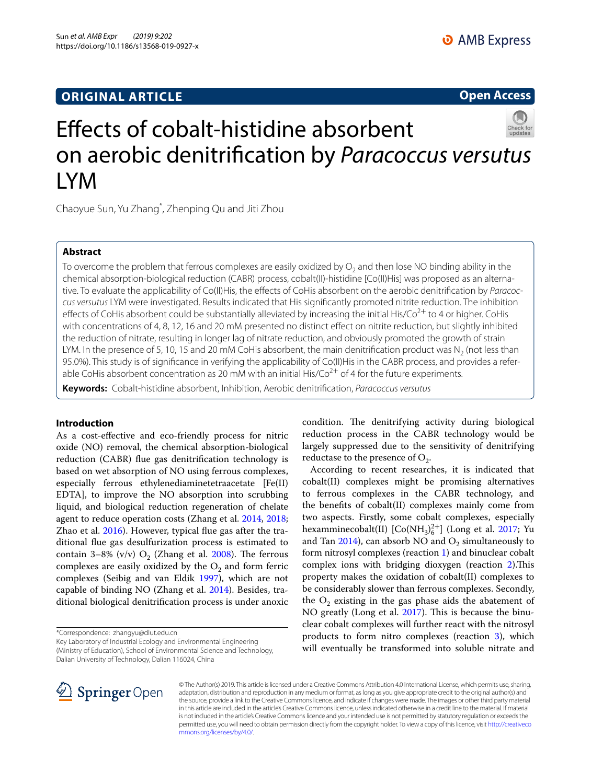## **ORIGINAL ARTICLE**

**Open Access**

# Efects of cobalt-histidine absorbent on aerobic denitrifcation by *Paracoccus versutus* LYM

Chaoyue Sun, Yu Zhang\* , Zhenping Qu and Jiti Zhou

## **Abstract**

To overcome the problem that ferrous complexes are easily oxidized by  $O<sub>2</sub>$  and then lose NO binding ability in the chemical absorption-biological reduction (CABR) process, cobalt(II)-histidine [Co(II)His] was proposed as an alternative. To evaluate the applicability of Co(II)His, the efects of CoHis absorbent on the aerobic denitrifcation by *Paracoccus versutus* LYM were investigated. Results indicated that His signifcantly promoted nitrite reduction. The inhibition effects of CoHis absorbent could be substantially alleviated by increasing the initial His/Co<sup>2+</sup> to 4 or higher. CoHis with concentrations of 4, 8, 12, 16 and 20 mM presented no distinct efect on nitrite reduction, but slightly inhibited the reduction of nitrate, resulting in longer lag of nitrate reduction, and obviously promoted the growth of strain LYM. In the presence of 5, 10, 15 and 20 mM CoHis absorbent, the main denitrification product was N<sub>2</sub> (not less than 95.0%). This study is of signifcance in verifying the applicability of Co(II)His in the CABR process, and provides a referable CoHis absorbent concentration as 20 mM with an initial His/Co<sup>2+</sup> of 4 for the future experiments.

**Keywords:** Cobalt-histidine absorbent, Inhibition, Aerobic denitrifcation, *Paracoccus versutus*

## **Introduction**

As a cost-efective and eco-friendly process for nitric oxide (NO) removal, the chemical absorption-biological reduction (CABR) fue gas denitrifcation technology is based on wet absorption of NO using ferrous complexes, especially ferrous ethylenediaminetetraacetate [Fe(II) EDTA], to improve the NO absorption into scrubbing liquid, and biological reduction regeneration of chelate agent to reduce operation costs (Zhang et al. [2014,](#page-9-0) [2018](#page-9-1); Zhao et al. [2016](#page-9-2)). However, typical fue gas after the traditional fue gas desulfurization process is estimated to contain 3–8% (v/v)  $O_2$  (Zhang et al. [2008\)](#page-9-3). The ferrous complexes are easily oxidized by the  $O_2$  and form ferric complexes (Seibig and van Eldik [1997](#page-9-4)), which are not capable of binding NO (Zhang et al. [2014\)](#page-9-0). Besides, traditional biological denitrifcation process is under anoxic

\*Correspondence: zhangyu@dlut.edu.cn

Key Laboratory of Industrial Ecology and Environmental Engineering (Ministry of Education), School of Environmental Science and Technology, Dalian University of Technology, Dalian 116024, China

condition. The denitrifying activity during biological reduction process in the CABR technology would be largely suppressed due to the sensitivity of denitrifying reductase to the presence of  $O_2$ .

According to recent researches, it is indicated that cobalt(II) complexes might be promising alternatives to ferrous complexes in the CABR technology, and the benefts of cobalt(II) complexes mainly come from two aspects. Firstly, some cobalt complexes, especially hexamminecobalt(II)  $[Co(NH_3)_6^{2+}]$  (Long et al. [2017;](#page-9-5) Yu and Tan [2014\)](#page-9-6), can absorb NO and  $O_2$  simultaneously to form nitrosyl complexes (reaction [1\)](#page-1-0) and binuclear cobalt complex ions with bridging dioxygen (reaction [2](#page-1-1)). This property makes the oxidation of cobalt(II) complexes to be considerably slower than ferrous complexes. Secondly, the  $O_2$  existing in the gas phase aids the abatement of NO greatly (Long et al. [2017](#page-9-5)). This is because the binuclear cobalt complexes will further react with the nitrosyl products to form nitro complexes (reaction [3\)](#page-1-2), which will eventually be transformed into soluble nitrate and



© The Author(s) 2019. This article is licensed under a Creative Commons Attribution 4.0 International License, which permits use, sharing, adaptation, distribution and reproduction in any medium or format, as long as you give appropriate credit to the original author(s) and the source, provide a link to the Creative Commons licence, and indicate if changes were made. The images or other third party material in this article are included in the article's Creative Commons licence, unless indicated otherwise in a credit line to the material. If material is not included in the article's Creative Commons licence and your intended use is not permitted by statutory regulation or exceeds the permitted use, you will need to obtain permission directly from the copyright holder. To view a copy of this licence, visit [http://creativeco](http://creativecommons.org/licenses/by/4.0/) [mmons.org/licenses/by/4.0/.](http://creativecommons.org/licenses/by/4.0/)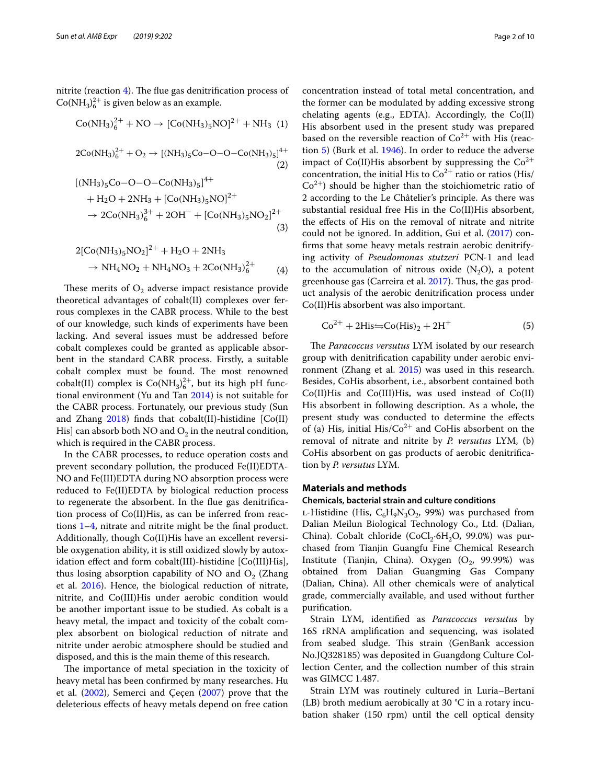nitrite (reaction  $4$ ). The flue gas denitrification process of  $Co(NH_3)_6^{2+}$  is given below as an example.

$$
Co(NH_3)_{6}^{2+} + NO \rightarrow [Co(NH_3)_{5}NO]^{2+} + NH_3 (1)
$$

$$
2Co(NH_3)_{6}^{2+} + O_2 \rightarrow [(NH_3)_{5}Co-O-O-Co(NH_3)_{5}]^{4+}
$$
\n(2)

$$
[(NH3)5Co-O-O-Co(NH3)5]4++ H2O + 2NH3 + [Co(NH3)5NO]2+\to 2Co(NH3)63+ + 2OH- + [Co(NH3)5NO2]2+
$$
\n(3)

$$
2[Co(NH3)5NO2]2+ + H2O + 2NH3 \n\rightarrow NH4NO2 + NH4NO3 + 2Co(NH3)62+
$$
\n(4)

These merits of  $O_2$  adverse impact resistance provide theoretical advantages of cobalt(II) complexes over ferrous complexes in the CABR process. While to the best of our knowledge, such kinds of experiments have been lacking. And several issues must be addressed before cobalt complexes could be granted as applicable absorbent in the standard CABR process. Firstly, a suitable cobalt complex must be found. The most renowned cobalt(II) complex is  $Co(NH_3)_6^{2+}$ , but its high pH functional environment (Yu and Tan [2014](#page-9-6)) is not suitable for the CABR process. Fortunately, our previous study (Sun and Zhang  $2018$ ) finds that cobalt(II)-histidine  $[Co(II)]$ His] can absorb both NO and  $O<sub>2</sub>$  in the neutral condition, which is required in the CABR process.

In the CABR processes, to reduce operation costs and prevent secondary pollution, the produced Fe(II)EDTA-NO and Fe(III)EDTA during NO absorption process were reduced to Fe(II)EDTA by biological reduction process to regenerate the absorbent. In the fue gas denitrifcation process of Co(II)His, as can be inferred from reactions [1](#page-1-0)–[4,](#page-1-3) nitrate and nitrite might be the fnal product. Additionally, though Co(II)His have an excellent reversible oxygenation ability, it is still oxidized slowly by autoxidation efect and form cobalt(III)-histidine [Co(III)His], thus losing absorption capability of NO and  $O<sub>2</sub>$  (Zhang et al. [2016\)](#page-9-8). Hence, the biological reduction of nitrate, nitrite, and Co(III)His under aerobic condition would be another important issue to be studied. As cobalt is a heavy metal, the impact and toxicity of the cobalt complex absorbent on biological reduction of nitrate and nitrite under aerobic atmosphere should be studied and disposed, and this is the main theme of this research.

The importance of metal speciation in the toxicity of heavy metal has been confrmed by many researches. Hu et al. ([2002\)](#page-9-9), Semerci and Çeçen [\(2007\)](#page-9-10) prove that the deleterious efects of heavy metals depend on free cation

<span id="page-1-1"></span><span id="page-1-0"></span>concentration instead of total metal concentration, and the former can be modulated by adding excessive strong chelating agents (e.g., EDTA). Accordingly, the Co(II) His absorbent used in the present study was prepared based on the reversible reaction of  $Co<sup>2+</sup>$  with His (reaction [5](#page-1-4)) (Burk et al. [1946](#page-9-11)). In order to reduce the adverse impact of Co(II)His absorbent by suppressing the  $Co^{2+}$ concentration, the initial His to  $Co^{2+}$  ratio or ratios (His/  $Co<sup>2+</sup>$ ) should be higher than the stoichiometric ratio of 2 according to the Le Châtelier's principle. As there was substantial residual free His in the Co(II)His absorbent, the efects of His on the removal of nitrate and nitrite could not be ignored. In addition, Gui et al. ([2017\)](#page-9-12) confrms that some heavy metals restrain aerobic denitrifying activity of *Pseudomonas stutzeri* PCN-1 and lead to the accumulation of nitrous oxide  $(N_2O)$ , a potent greenhouse gas (Carreira et al. [2017](#page-9-13)). Thus, the gas product analysis of the aerobic denitrifcation process under Co(II)His absorbent was also important.

<span id="page-1-4"></span><span id="page-1-3"></span><span id="page-1-2"></span>
$$
Co^{2+} + 2His \leftrightharpoons Co(His)_2 + 2H^+ \tag{5}
$$

The *Paracoccus versutus* LYM isolated by our research group with denitrifcation capability under aerobic envi-ronment (Zhang et al. [2015\)](#page-9-14) was used in this research. Besides, CoHis absorbent, i.e., absorbent contained both Co(II)His and Co(III)His, was used instead of Co(II) His absorbent in following description. As a whole, the present study was conducted to determine the efects of (a) His, initial  $His/Co^{2+}$  and CoHis absorbent on the removal of nitrate and nitrite by *P. versutus* LYM, (b) CoHis absorbent on gas products of aerobic denitrifcation by *P. versutus* LYM.

#### **Materials and methods**

#### **Chemicals, bacterial strain and culture conditions**

L-Histidine (His,  $C_6H_9N_3O_2$ , 99%) was purchased from Dalian Meilun Biological Technology Co., Ltd. (Dalian, China). Cobalt chloride (CoCl<sub>2</sub>·6H<sub>2</sub>O, 99.0%) was purchased from Tianjin Guangfu Fine Chemical Research Institute (Tianjin, China). Oxygen  $(O_2, 99.99%)$  was obtained from Dalian Guangming Gas Company (Dalian, China). All other chemicals were of analytical grade, commercially available, and used without further purifcation.

Strain LYM, identifed as *Paracoccus versutus* by 16S rRNA amplifcation and sequencing, was isolated from seabed sludge. This strain (GenBank accession No.JQ328185) was deposited in Guangdong Culture Collection Center, and the collection number of this strain was GIMCC 1.487.

Strain LYM was routinely cultured in Luria–Bertani (LB) broth medium aerobically at 30 °C in a rotary incubation shaker (150 rpm) until the cell optical density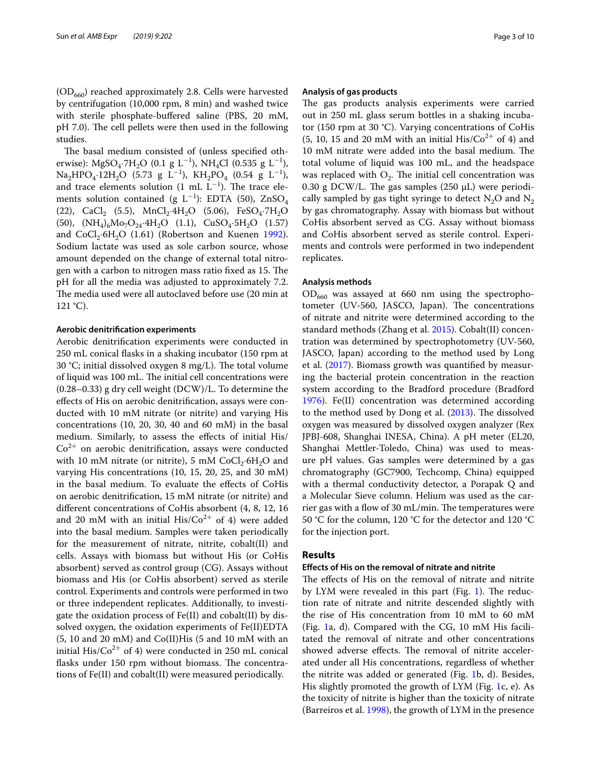$(OD<sub>660</sub>)$  reached approximately 2.8. Cells were harvested by centrifugation (10,000 rpm, 8 min) and washed twice with sterile phosphate-buffered saline (PBS, 20 mM, pH 7.0). The cell pellets were then used in the following studies.

The basal medium consisted of (unless specified otherwise): MgSO<sub>4</sub>·7H<sub>2</sub>O (0.1 g L<sup>-1</sup>), NH<sub>4</sub>Cl (0.535 g L<sup>-1</sup>), Na<sub>2</sub>HPO<sub>4</sub>·12H<sub>2</sub>O (5.73 g L<sup>-1</sup>), KH<sub>2</sub>PO<sub>4</sub> (0.54 g L<sup>-1</sup>), and trace elements solution  $(1 \text{ mL } L^{-1})$ . The trace elements solution contained (g L<sup>-1</sup>): EDTA (50), ZnSO<sub>4</sub> (22), CaCl<sub>2</sub> (5.5), MnCl<sub>2</sub>·4H<sub>2</sub>O (5.06), FeSO<sub>4</sub>·7H<sub>2</sub>O (50),  $(NH_4)_6Mo_7O_{24}·4H_2O$  (1.1),  $CuSO_4·5H_2O$  (1.57) and  $CoCl<sub>2</sub>·6H<sub>2</sub>O$  (1.61) (Robertson and Kuenen [1992](#page-9-15)). Sodium lactate was used as sole carbon source, whose amount depended on the change of external total nitrogen with a carbon to nitrogen mass ratio fixed as 15. The pH for all the media was adjusted to approximately 7.2. The media used were all autoclaved before use (20 min at  $121 \text{ }^{\circ}C$ ).

#### **Aerobic denitrifcation experiments**

Aerobic denitrifcation experiments were conducted in 250 mL conical fasks in a shaking incubator (150 rpm at 30 °C; initial dissolved oxygen 8 mg/L). The total volume of liquid was 100 mL. The initial cell concentrations were (0.28–0.33) g dry cell weight (DCW)/L. To determine the efects of His on aerobic denitrifcation, assays were conducted with 10 mM nitrate (or nitrite) and varying His concentrations (10, 20, 30, 40 and 60 mM) in the basal medium. Similarly, to assess the efects of initial His/  $Co<sup>2+</sup>$  on aerobic denitrification, assays were conducted with 10 mM nitrate (or nitrite), 5 mM  $CoCl<sub>2</sub>·6H<sub>2</sub>O$  and varying His concentrations (10, 15, 20, 25, and 30 mM) in the basal medium. To evaluate the efects of CoHis on aerobic denitrifcation, 15 mM nitrate (or nitrite) and diferent concentrations of CoHis absorbent (4, 8, 12, 16 and 20 mM with an initial  $His/Co^{2+}$  of 4) were added into the basal medium. Samples were taken periodically for the measurement of nitrate, nitrite, cobalt(II) and cells. Assays with biomass but without His (or CoHis absorbent) served as control group (CG). Assays without biomass and His (or CoHis absorbent) served as sterile control. Experiments and controls were performed in two or three independent replicates. Additionally, to investigate the oxidation process of Fe(II) and cobalt(II) by dissolved oxygen, the oxidation experiments of Fe(II)EDTA (5, 10 and 20 mM) and Co(II)His (5 and 10 mM with an initial His/ $Co^{2+}$  of 4) were conducted in 250 mL conical flasks under 150 rpm without biomass. The concentrations of Fe(II) and cobalt(II) were measured periodically.

#### **Analysis of gas products**

The gas products analysis experiments were carried out in 250 mL glass serum bottles in a shaking incubator (150 rpm at 30 °C). Varying concentrations of CoHis (5, 10, 15 and 20 mM with an initial His/Co<sup>2</sup><sup>+</sup> of 4) and 10 mM nitrate were added into the basal medium. The total volume of liquid was 100 mL, and the headspace was replaced with  $O<sub>2</sub>$ . The initial cell concentration was 0.30 g DCW/L. The gas samples (250  $\mu$ L) were periodically sampled by gas tight syringe to detect  $N_2O$  and  $N_2$ by gas chromatography. Assay with biomass but without CoHis absorbent served as CG. Assay without biomass and CoHis absorbent served as sterile control. Experiments and controls were performed in two independent replicates.

#### **Analysis methods**

 $OD_{660}$  was assayed at 660 nm using the spectrophotometer (UV-560, JASCO, Japan). The concentrations of nitrate and nitrite were determined according to the standard methods (Zhang et al. [2015\)](#page-9-14). Cobalt(II) concentration was determined by spectrophotometry (UV-560, JASCO, Japan) according to the method used by Long et al. [\(2017\)](#page-9-5). Biomass growth was quantifed by measuring the bacterial protein concentration in the reaction system according to the Bradford procedure (Bradford [1976](#page-9-16)). Fe(II) concentration was determined according to the method used by Dong et al. [\(2013\)](#page-9-17). The dissolved oxygen was measured by dissolved oxygen analyzer (Rex JPBJ-608, Shanghai INESA, China). A pH meter (EL20, Shanghai Mettler-Toledo, China) was used to measure pH values. Gas samples were determined by a gas chromatography (GC7900, Techcomp, China) equipped with a thermal conductivity detector, a Porapak Q and a Molecular Sieve column. Helium was used as the carrier gas with a flow of  $30 \text{ mL/min}$ . The temperatures were 50 °C for the column, 120 °C for the detector and 120 °C for the injection port.

## **Results**

## **Efects of His on the removal of nitrate and nitrite**

The effects of His on the removal of nitrate and nitrite by LYM were revealed in this part (Fig. [1](#page-3-0)). The reduction rate of nitrate and nitrite descended slightly with the rise of His concentration from 10 mM to 60 mM (Fig. [1](#page-3-0)a, d). Compared with the CG, 10 mM His facilitated the removal of nitrate and other concentrations showed adverse effects. The removal of nitrite accelerated under all His concentrations, regardless of whether the nitrite was added or generated (Fig. [1](#page-3-0)b, d). Besides, His slightly promoted the growth of LYM (Fig. [1](#page-3-0)c, e). As the toxicity of nitrite is higher than the toxicity of nitrate (Barreiros et al. [1998](#page-9-18)), the growth of LYM in the presence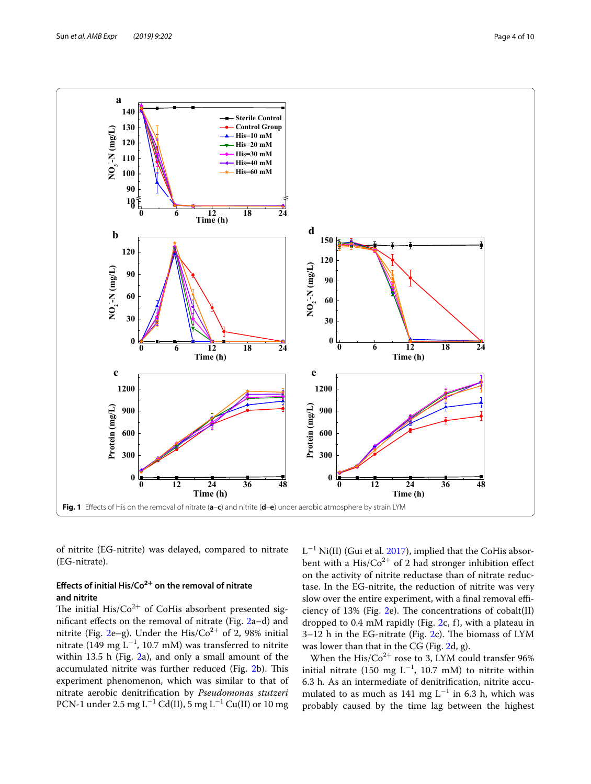

<span id="page-3-0"></span>of nitrite (EG-nitrite) was delayed, compared to nitrate (EG-nitrate).

## **Efects of initial His/Co2+ on the removal of nitrate and nitrite**

The initial His/ $Co^{2+}$  of CoHis absorbent presented signifcant efects on the removal of nitrate (Fig. [2](#page-4-0)a–d) and nitrite (Fig. [2](#page-4-0)e–g). Under the His/Co<sup>2+</sup> of 2, 98% initial nitrate (149 mg L<sup>-1</sup>, 10.7 mM) was transferred to nitrite within 13.5 h (Fig. [2](#page-4-0)a), and only a small amount of the accumulated nitrite was further reduced (Fig. [2b](#page-4-0)). This experiment phenomenon, which was similar to that of nitrate aerobic denitrifcation by *Pseudomonas stutzeri* PCN-1 under 2.5 mg L<sup>−1</sup> Cd(II), 5 mg L<sup>−1</sup> Cu(II) or 10 mg

L<sup>-1</sup> Ni(II) (Gui et al. [2017](#page-9-12)), implied that the CoHis absorbent with a His/ $Co^{2+}$  of 2 had stronger inhibition effect on the activity of nitrite reductase than of nitrate reductase. In the EG-nitrite, the reduction of nitrite was very slow over the entire experiment, with a final removal efficiency of 13% (Fig.  $2e$ ). The concentrations of cobalt(II) dropped to 0.4 mM rapidly (Fig. [2c](#page-4-0), f), with a plateau in  $3-12$  $3-12$  h in the EG-nitrate (Fig. 2c). The biomass of LYM was lower than that in the CG (Fig. [2](#page-4-0)d, g).

When the  $\mathrm{His}/\mathrm{Co}^{2+}$  rose to 3, LYM could transfer  $96\%$ initial nitrate (150 mg  $L^{-1}$ , 10.7 mM) to nitrite within 6.3 h. As an intermediate of denitrifcation, nitrite accumulated to as much as 141 mg  $L^{-1}$  in 6.3 h, which was probably caused by the time lag between the highest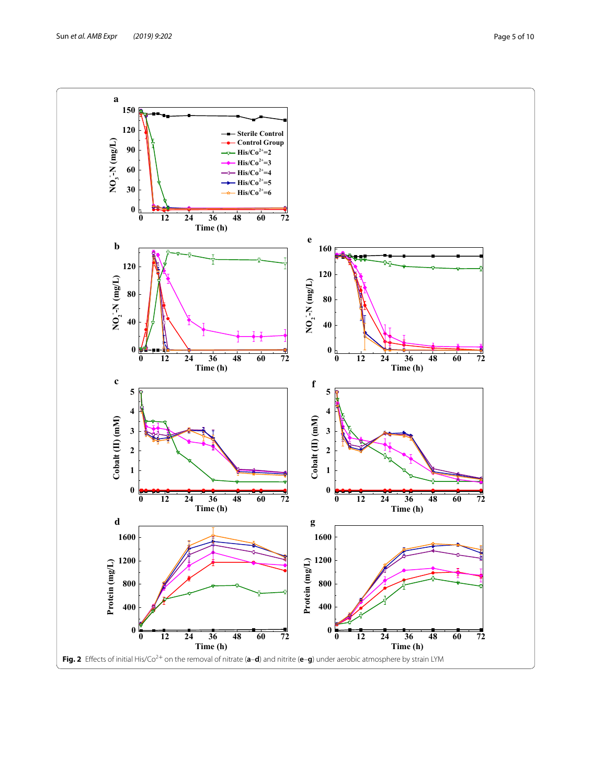<span id="page-4-0"></span>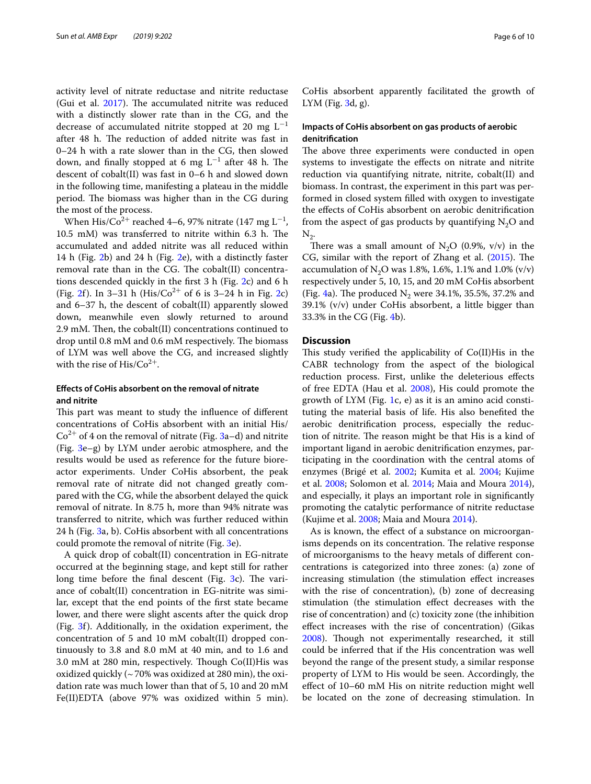activity level of nitrate reductase and nitrite reductase (Gui et al.  $2017$ ). The accumulated nitrite was reduced with a distinctly slower rate than in the CG, and the decrease of accumulated nitrite stopped at 20 mg  $L^{-1}$ after 48 h. The reduction of added nitrite was fast in 0–24 h with a rate slower than in the CG, then slowed down, and finally stopped at 6 mg  $L^{-1}$  after 48 h. The descent of cobalt(II) was fast in 0–6 h and slowed down in the following time, manifesting a plateau in the middle period. The biomass was higher than in the CG during the most of the process.

When His/Co<sup>2+</sup> reached 4–6, 97% nitrate (147 mg L<sup>-1</sup>, 10.5 mM) was transferred to nitrite within 6.3 h. The accumulated and added nitrite was all reduced within 14 h (Fig. [2](#page-4-0)b) and 24 h (Fig. [2e](#page-4-0)), with a distinctly faster removal rate than in the CG. The cobalt(II) concentrations descended quickly in the frst 3 h (Fig. [2](#page-4-0)c) and 6 h (Fig. [2](#page-4-0)f). In 3–31 h (His/Co<sup>2+</sup> of 6 is 3–24 h in Fig. 2c) and 6–37 h, the descent of cobalt(II) apparently slowed down, meanwhile even slowly returned to around  $2.9$  mM. Then, the cobalt(II) concentrations continued to drop until  $0.8 \text{ mM}$  and  $0.6 \text{ mM}$  respectively. The biomass of LYM was well above the CG, and increased slightly with the rise of  $His/Co^{2+}$ .

## **Efects of CoHis absorbent on the removal of nitrate and nitrite**

This part was meant to study the influence of different concentrations of CoHis absorbent with an initial His/  $Co<sup>2+</sup>$  of 4 on the removal of nitrate (Fig. [3](#page-6-0)a–d) and nitrite (Fig. [3](#page-6-0)e–g) by LYM under aerobic atmosphere, and the results would be used as reference for the future bioreactor experiments. Under CoHis absorbent, the peak removal rate of nitrate did not changed greatly compared with the CG, while the absorbent delayed the quick removal of nitrate. In 8.75 h, more than 94% nitrate was transferred to nitrite, which was further reduced within 24 h (Fig. [3](#page-6-0)a, b). CoHis absorbent with all concentrations could promote the removal of nitrite (Fig. [3](#page-6-0)e).

A quick drop of cobalt(II) concentration in EG-nitrate occurred at the beginning stage, and kept still for rather long time before the final descent (Fig.  $3c$ ). The variance of cobalt(II) concentration in EG-nitrite was similar, except that the end points of the frst state became lower, and there were slight ascents after the quick drop (Fig. [3f](#page-6-0)). Additionally, in the oxidation experiment, the concentration of 5 and 10 mM cobalt(II) dropped continuously to 3.8 and 8.0 mM at 40 min, and to 1.6 and 3.0 mM at 280 min, respectively. Though Co(II)His was oxidized quickly (~70% was oxidized at 280 min), the oxidation rate was much lower than that of 5, 10 and 20 mM Fe(II)EDTA (above 97% was oxidized within 5 min).

CoHis absorbent apparently facilitated the growth of LYM (Fig. [3d](#page-6-0), g).

## **Impacts of CoHis absorbent on gas products of aerobic denitrifcation**

The above three experiments were conducted in open systems to investigate the efects on nitrate and nitrite reduction via quantifying nitrate, nitrite, cobalt(II) and biomass. In contrast, the experiment in this part was performed in closed system flled with oxygen to investigate the efects of CoHis absorbent on aerobic denitrifcation from the aspect of gas products by quantifying  $N_2O$  and  $N_{2}$ .

There was a small amount of N<sub>2</sub>O (0.9%, v/v) in the CG, similar with the report of Zhang et al.  $(2015)$  $(2015)$ . The accumulation of N<sub>2</sub>O was 1.8%, 1.6%, 1.1% and 1.0% (v/v) respectively under 5, 10, 15, and 20 mM CoHis absorbent (Fig. [4](#page-7-0)a). The produced  $N_2$  were 34.1%, 35.5%, 37.2% and 39.1% (v/v) under CoHis absorbent, a little bigger than 33.3% in the CG (Fig. [4](#page-7-0)b).

#### **Discussion**

This study verified the applicability of  $Co(II)$ His in the CABR technology from the aspect of the biological reduction process. First, unlike the deleterious efects of free EDTA (Hau et al. [2008](#page-9-19)), His could promote the growth of LYM (Fig. [1c](#page-3-0), e) as it is an amino acid constituting the material basis of life. His also benefted the aerobic denitrifcation process, especially the reduction of nitrite. The reason might be that His is a kind of important ligand in aerobic denitrifcation enzymes, participating in the coordination with the central atoms of enzymes (Brigé et al. [2002;](#page-9-20) Kumita et al. [2004;](#page-9-21) Kujime et al. [2008](#page-9-22); Solomon et al. [2014](#page-9-23); Maia and Moura [2014](#page-9-24)), and especially, it plays an important role in signifcantly promoting the catalytic performance of nitrite reductase (Kujime et al. [2008](#page-9-22); Maia and Moura [2014\)](#page-9-24).

As is known, the efect of a substance on microorganisms depends on its concentration. The relative response of microorganisms to the heavy metals of diferent concentrations is categorized into three zones: (a) zone of increasing stimulation (the stimulation efect increases with the rise of concentration), (b) zone of decreasing stimulation (the stimulation efect decreases with the rise of concentration) and (c) toxicity zone (the inhibition efect increases with the rise of concentration) (Gikas [2008](#page-9-25)). Though not experimentally researched, it still could be inferred that if the His concentration was well beyond the range of the present study, a similar response property of LYM to His would be seen. Accordingly, the efect of 10–60 mM His on nitrite reduction might well be located on the zone of decreasing stimulation. In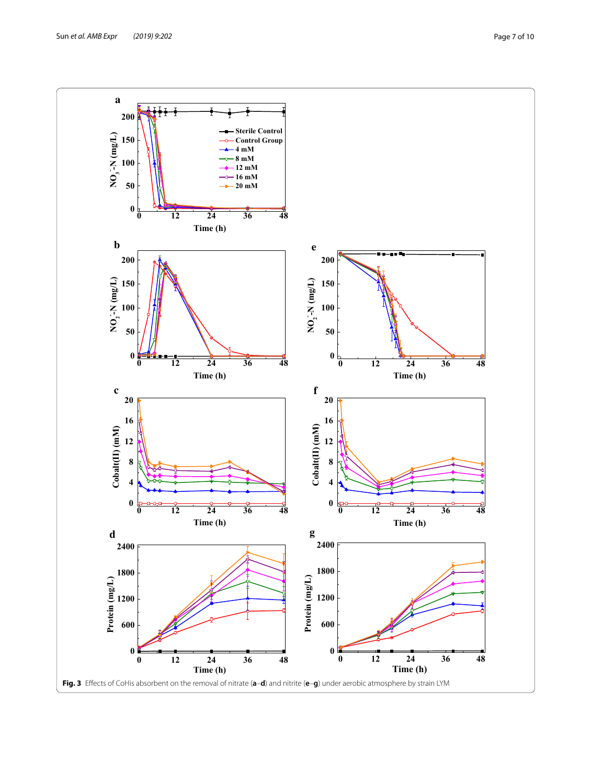<span id="page-6-0"></span>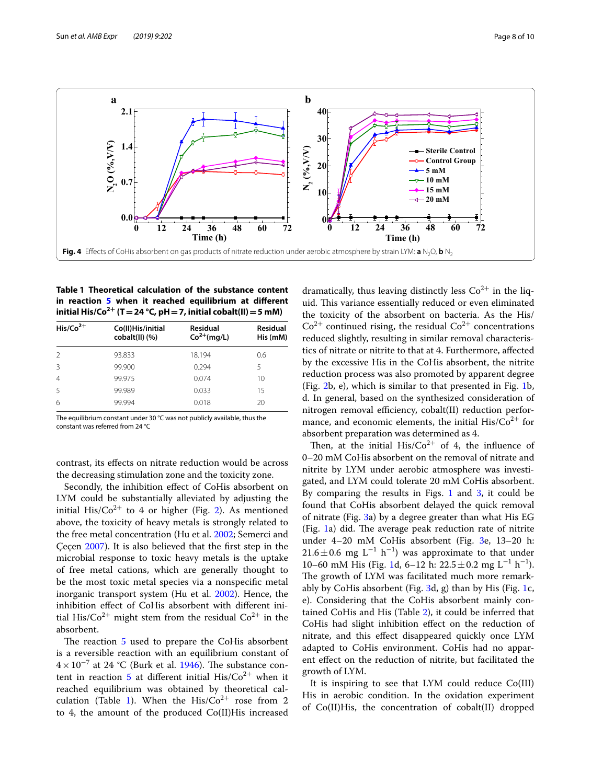

<span id="page-7-1"></span><span id="page-7-0"></span>**Table 1 Theoretical calculation of the substance content in reaction [5](#page-1-4)** when it reached equilibrium at different **initial His/Co<sup>2+</sup> (T = 24 °C, pH = 7, initial cobalt(II) = 5 mM)** 

| $His/Co2+$     | Co(II)His/initial<br>cobalt(II) (%) | <b>Residual</b><br>$Co2+(mg/L)$ | <b>Residual</b><br>His (mM) |
|----------------|-------------------------------------|---------------------------------|-----------------------------|
| $\mathcal{L}$  | 93.833                              | 18.194                          | 0.6                         |
| 3              | 99.900                              | 0.294                           | 5                           |
| $\overline{4}$ | 99.975                              | 0.074                           | 10                          |
| 5              | 99.989                              | 0.033                           | 15                          |
| 6              | 99.994                              | 0.018                           | 20                          |
|                |                                     |                                 |                             |

The equilibrium constant under 30 °C was not publicly available, thus the constant was referred from 24 °C

contrast, its efects on nitrate reduction would be across the decreasing stimulation zone and the toxicity zone.

Secondly, the inhibition efect of CoHis absorbent on LYM could be substantially alleviated by adjusting the initial His/ $Co^{2+}$  $Co^{2+}$  $Co^{2+}$  to 4 or higher (Fig. 2). As mentioned above, the toxicity of heavy metals is strongly related to the free metal concentration (Hu et al. [2002](#page-9-9); Semerci and Çeçen [2007](#page-9-10)). It is also believed that the frst step in the microbial response to toxic heavy metals is the uptake of free metal cations, which are generally thought to be the most toxic metal species via a nonspecifc metal inorganic transport system (Hu et al. [2002](#page-9-9)). Hence, the inhibition efect of CoHis absorbent with diferent initial His/ $Co^{2+}$  might stem from the residual  $Co^{2+}$  in the absorbent.

The reaction  $5$  used to prepare the CoHis absorbent is a reversible reaction with an equilibrium constant of  $4 \times 10^{-7}$  at 24 °C (Burk et al. [1946\)](#page-9-11). The substance con-tent in reaction [5](#page-1-4) at different initial  $His/Co^{2+}$  when it reached equilibrium was obtained by theoretical cal-culation (Table [1\)](#page-7-1). When the His/ $Co^{2+}$  rose from 2 to 4, the amount of the produced Co(II)His increased

dramatically, thus leaving distinctly less  $Co<sup>2+</sup>$  in the liquid. This variance essentially reduced or even eliminated the toxicity of the absorbent on bacteria. As the His/  $Co<sup>2+</sup>$  continued rising, the residual  $Co<sup>2+</sup>$  concentrations reduced slightly, resulting in similar removal characteristics of nitrate or nitrite to that at 4. Furthermore, afected by the excessive His in the CoHis absorbent, the nitrite reduction process was also promoted by apparent degree (Fig. [2b](#page-4-0), e), which is similar to that presented in Fig. [1](#page-3-0)b, d. In general, based on the synthesized consideration of nitrogen removal efficiency, cobalt(II) reduction performance, and economic elements, the initial  $His/Co^{2+}$  for absorbent preparation was determined as 4.

Then, at the initial  $His/Co^{2+}$  of 4, the influence of 0–20 mM CoHis absorbent on the removal of nitrate and nitrite by LYM under aerobic atmosphere was investigated, and LYM could tolerate 20 mM CoHis absorbent. By comparing the results in Figs. [1](#page-3-0) and  $3$ , it could be found that CoHis absorbent delayed the quick removal of nitrate (Fig. [3a](#page-6-0)) by a degree greater than what His EG (Fig.  $1a$  $1a$ ) did. The average peak reduction rate of nitrite under 4–20 mM CoHis absorbent (Fig. [3](#page-6-0)e, 13–20 h: 21.6±0.6 mg L<sup>-1</sup> h<sup>-1</sup>) was approximate to that under [1](#page-3-0)0–60 mM His (Fig. 1d, 6–12 h: 22.5±0.2 mg L<sup>-1</sup> h<sup>-1</sup>). The growth of LYM was facilitated much more remarkably by CoHis absorbent (Fig. [3](#page-6-0)d, g) than by His (Fig. [1c](#page-3-0), e). Considering that the CoHis absorbent mainly contained CoHis and His (Table [2\)](#page-8-0), it could be inferred that CoHis had slight inhibition efect on the reduction of nitrate, and this efect disappeared quickly once LYM adapted to CoHis environment. CoHis had no apparent efect on the reduction of nitrite, but facilitated the growth of LYM.

It is inspiring to see that LYM could reduce Co(III) His in aerobic condition. In the oxidation experiment of Co(II)His, the concentration of cobalt(II) dropped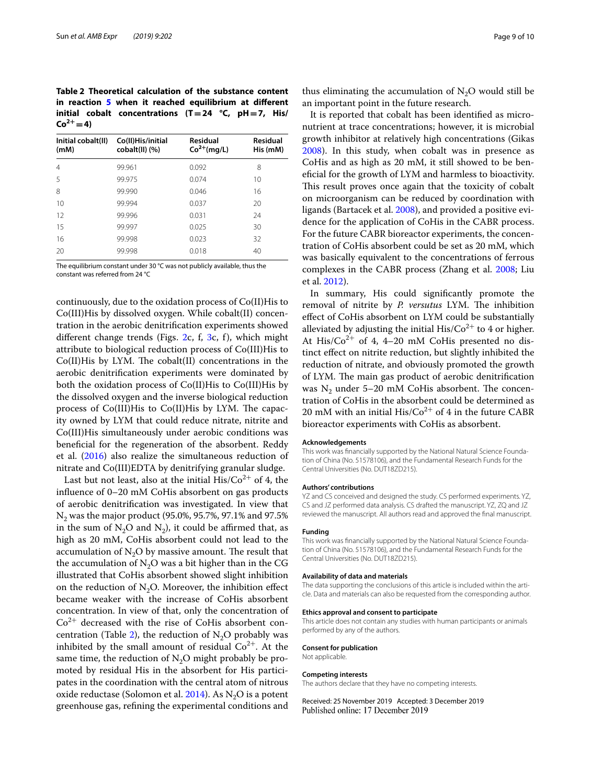<span id="page-8-0"></span>**Table 2 Theoretical calculation of the substance content**  in reaction **[5](#page-1-4)** when it reached equilibrium at different **initial cobalt concentrations (T=24 °C, pH=7, His/**  $Co^{2+} = 4$ 

| Initial cobalt(II)<br>(mM) | Co(II)His/initial<br>cobalt(II) (%) | <b>Residual</b><br>$Co2+(mq/L)$ | Residual<br>His (mM) |  |
|----------------------------|-------------------------------------|---------------------------------|----------------------|--|
| $\overline{4}$             | 99.961                              | 0.092                           | 8                    |  |
| 5                          | 99.975                              | 0.074                           | 10                   |  |
| 8                          | 99.990                              | 0.046                           | 16                   |  |
| 10                         | 99.994                              | 0.037                           | 20                   |  |
| 12                         | 99.996                              | 0.031                           | 24                   |  |
| 15                         | 99.997                              | 0.025                           | 30                   |  |
| 16                         | 99.998                              | 0.023                           | 32                   |  |
| 20                         | 99.998                              | 0.018                           | 40                   |  |

The equilibrium constant under 30 °C was not publicly available, thus the constant was referred from 24 °C

continuously, due to the oxidation process of Co(II)His to Co(III)His by dissolved oxygen. While cobalt(II) concentration in the aerobic denitrifcation experiments showed different change trends (Figs.  $2c$ , f,  $3c$ , f), which might attribute to biological reduction process of Co(III)His to  $Co(II)$ His by LYM. The  $cobalt(II)$  concentrations in the aerobic denitrifcation experiments were dominated by both the oxidation process of Co(II)His to Co(III)His by the dissolved oxygen and the inverse biological reduction process of  $Co(III)$ His to  $Co(II)$ His by LYM. The capacity owned by LYM that could reduce nitrate, nitrite and Co(III)His simultaneously under aerobic conditions was benefcial for the regeneration of the absorbent. Reddy et al. ([2016\)](#page-9-26) also realize the simultaneous reduction of nitrate and Co(III)EDTA by denitrifying granular sludge.

Last but not least, also at the initial His/ $Co^{2+}$  of 4, the infuence of 0–20 mM CoHis absorbent on gas products of aerobic denitrifcation was investigated. In view that N2 was the major product (95.0%, 95.7%, 97.1% and 97.5% in the sum of  $N_2O$  and  $N_2$ ), it could be affirmed that, as high as 20 mM, CoHis absorbent could not lead to the accumulation of  $N<sub>2</sub>O$  by massive amount. The result that the accumulation of  $N<sub>2</sub>O$  was a bit higher than in the CG illustrated that CoHis absorbent showed slight inhibition on the reduction of  $N_2O$ . Moreover, the inhibition effect became weaker with the increase of CoHis absorbent concentration. In view of that, only the concentration of  $Co<sup>2+</sup>$  decreased with the rise of CoHis absorbent con-centration (Table [2](#page-8-0)), the reduction of  $N_2O$  probably was inhibited by the small amount of residual  $Co<sup>2+</sup>$ . At the same time, the reduction of  $N_2O$  might probably be promoted by residual His in the absorbent for His participates in the coordination with the central atom of nitrous oxide reductase (Solomon et al. [2014](#page-9-23)). As  $N<sub>2</sub>O$  is a potent greenhouse gas, refning the experimental conditions and

thus eliminating the accumulation of  $N<sub>2</sub>O$  would still be an important point in the future research.

It is reported that cobalt has been identifed as micronutrient at trace concentrations; however, it is microbial growth inhibitor at relatively high concentrations (Gikas [2008](#page-9-25)). In this study, when cobalt was in presence as CoHis and as high as 20 mM, it still showed to be benefcial for the growth of LYM and harmless to bioactivity. This result proves once again that the toxicity of cobalt on microorganism can be reduced by coordination with ligands (Bartacek et al. [2008](#page-9-27)), and provided a positive evidence for the application of CoHis in the CABR process. For the future CABR bioreactor experiments, the concentration of CoHis absorbent could be set as 20 mM, which was basically equivalent to the concentrations of ferrous complexes in the CABR process (Zhang et al. [2008](#page-9-3); Liu et al. [2012](#page-9-28)).

In summary, His could signifcantly promote the removal of nitrite by *P. versutus* LYM. The inhibition efect of CoHis absorbent on LYM could be substantially alleviated by adjusting the initial  $His/Co^{2+}$  to 4 or higher. At His/ $Co^{2+}$  of 4, 4–20 mM CoHis presented no distinct efect on nitrite reduction, but slightly inhibited the reduction of nitrate, and obviously promoted the growth of LYM. The main gas product of aerobic denitrification was  $N_2$  under 5–20 mM CoHis absorbent. The concentration of CoHis in the absorbent could be determined as 20 mM with an initial His/ $Co^{2+}$  of 4 in the future CABR bioreactor experiments with CoHis as absorbent.

#### **Acknowledgements**

This work was fnancially supported by the National Natural Science Foundation of China (No. 51578106), and the Fundamental Research Funds for the Central Universities (No. DUT18ZD215).

#### **Authors' contributions**

YZ and CS conceived and designed the study. CS performed experiments. YZ, CS and JZ performed data analysis. CS drafted the manuscript. YZ, ZQ and JZ reviewed the manuscript. All authors read and approved the fnal manuscript.

#### **Funding**

This work was fnancially supported by the National Natural Science Foundation of China (No. 51578106), and the Fundamental Research Funds for the Central Universities (No. DUT18ZD215).

#### **Availability of data and materials**

The data supporting the conclusions of this article is included within the article. Data and materials can also be requested from the corresponding author.

#### **Ethics approval and consent to participate**

This article does not contain any studies with human participants or animals performed by any of the authors.

#### **Consent for publication**

Not applicable.

#### **Competing interests**

The authors declare that they have no competing interests.

Received: 25 November 2019 Accepted: 3 December 2019 Published online: 17 December 2019